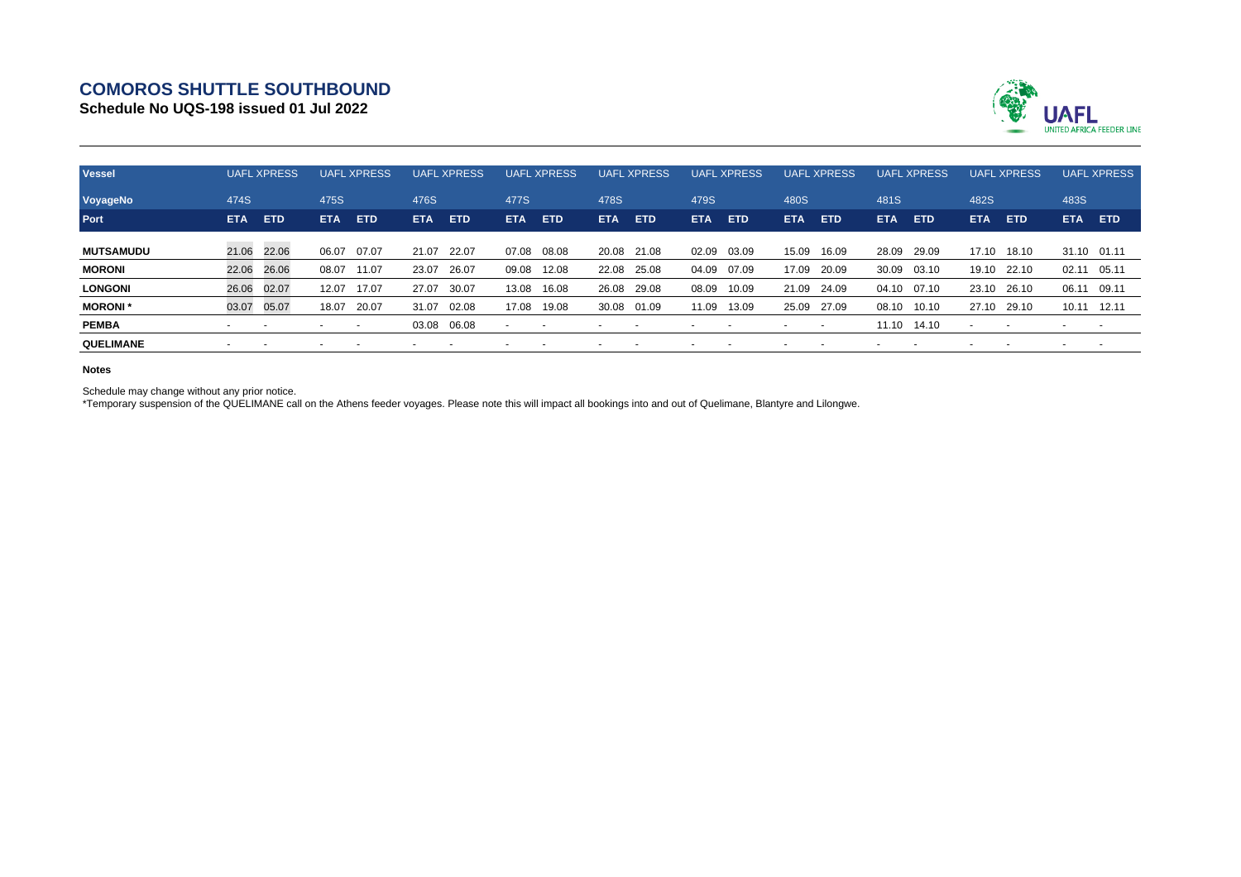## **COMOROS SHUTTLE SOUTHBOUND**

**Schedule No UQS-198 issued 01 Jul 2022**



| <b>Vessel</b>    | <b>UAFL XPRESS</b>       |            | <b>UAFL XPRESS</b> |            | <b>XPRESS</b><br>UAFL. |            | <b>UAFL XPRESS</b> |            | <b>UAFL XPRESS</b> |            | <b>UAFL XPRESS</b> |            | <b>UAFL XPRESS</b> |                          | <b>UAFL XPRESS</b> |            | <b>UAFL</b><br><b>XPRESS</b> |            | <b>UAFL XPRESS</b> |            |
|------------------|--------------------------|------------|--------------------|------------|------------------------|------------|--------------------|------------|--------------------|------------|--------------------|------------|--------------------|--------------------------|--------------------|------------|------------------------------|------------|--------------------|------------|
| VoyageNo         | 474S                     |            | 475S               |            | 476S                   |            | 477S               |            | 478S               |            | 479S               |            | 480S               |                          | 481S               |            | 482S                         |            | 483S               |            |
| Port             | <b>ETA</b>               | <b>ETD</b> | <b>ETA</b>         | <b>ETD</b> | <b>ETA</b>             | <b>ETD</b> | <b>ETA</b>         | <b>ETD</b> | <b>ETA</b>         | <b>ETD</b> | <b>ETA</b>         | <b>ETD</b> | <b>ETA</b>         | <b>ETD</b>               | <b>ETA</b>         | <b>ETD</b> | <b>ETA</b>                   | <b>ETD</b> | <b>ETA</b>         | <b>ETD</b> |
| <b>MUTSAMUDU</b> | 21.06 22.06              |            | 06.07              | 07.07      | 21.07                  | 22.07      | 07.08              | 08.08      | 20.08              | 21.08      | 02.09              | 03.09      | 15.09              | 16.09                    | 28.09              | 29.09      | 17.10                        | 18.10      | 31.10 01.11        |            |
| <b>MORONI</b>    | 22.06                    | 26.06      | 08.07              | 11.07      | 23.07                  | 26.07      | 09.08              | 12.08      | 22.08              | 25.08      | 04.09              | 07.09      | 17.09              | 20.09                    | 30.09              | 03.10      | 19.10                        | 22.10      | 02.11              | 05.11      |
| <b>LONGONI</b>   | 26.06                    | 02.07      | 12.07              | 17.07      | 27.07                  | 30.07      | 13.08              | 16.08      | 26.08              | 29.08      | 08.09              | 10.09      | 21.09              | 24.09                    | 04.10              | 07.10      | 23.10                        | 26.10      | 06.11              | 09.11      |
| <b>MORONI</b> *  | 03.07                    | 05.07      | 18.07              | 20.07      | 31.07                  | 02.08      | 17.08              | 19.08      | 30.08              | 01.09      | 11.09              | 13.09      | 25.09              | 27.09                    | 08.10              | 10.10      | 27.10                        | 29.10      | 10.11              | 12.11      |
| <b>PEMBA</b>     | $\overline{\phantom{0}}$ |            |                    |            | 03.08 06.08            |            |                    |            |                    |            |                    |            |                    | $\overline{\phantom{a}}$ | 11.10              | 14.10      |                              |            |                    |            |
| QUELIMANE        | $\overline{\phantom{0}}$ |            |                    |            |                        |            |                    |            |                    |            |                    |            |                    |                          |                    |            |                              |            |                    |            |

## **Notes**

Schedule may change without any prior notice.

\*Temporary suspension of the QUELIMANE call on the Athens feeder voyages. Please note this will impact all bookings into and out of Quelimane, Blantyre and Lilongwe.